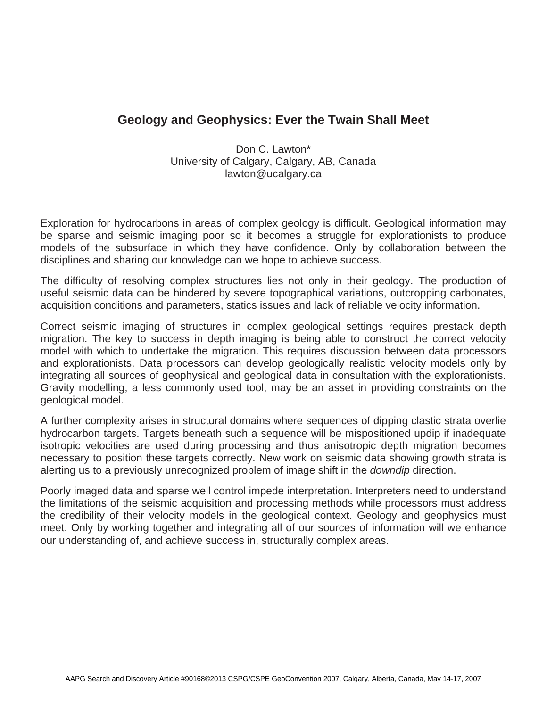## **Geology and Geophysics: Ever the Twain Shall Meet**

Don C. Lawton\* University of Calgary, Calgary, AB, Canada lawton@ucalgary.ca

Exploration for hydrocarbons in areas of complex geology is difficult. Geological information may be sparse and seismic imaging poor so it becomes a struggle for explorationists to produce models of the subsurface in which they have confidence. Only by collaboration between the disciplines and sharing our knowledge can we hope to achieve success.

The difficulty of resolving complex structures lies not only in their geology. The production of useful seismic data can be hindered by severe topographical variations, outcropping carbonates, acquisition conditions and parameters, statics issues and lack of reliable velocity information.

Correct seismic imaging of structures in complex geological settings requires prestack depth migration. The key to success in depth imaging is being able to construct the correct velocity model with which to undertake the migration. This requires discussion between data processors and explorationists. Data processors can develop geologically realistic velocity models only by integrating all sources of geophysical and geological data in consultation with the explorationists. Gravity modelling, a less commonly used tool, may be an asset in providing constraints on the geological model.

A further complexity arises in structural domains where sequences of dipping clastic strata overlie hydrocarbon targets. Targets beneath such a sequence will be mispositioned updip if inadequate isotropic velocities are used during processing and thus anisotropic depth migration becomes necessary to position these targets correctly. New work on seismic data showing growth strata is alerting us to a previously unrecognized problem of image shift in the *downdip* direction.

Poorly imaged data and sparse well control impede interpretation. Interpreters need to understand the limitations of the seismic acquisition and processing methods while processors must address the credibility of their velocity models in the geological context. Geology and geophysics must meet. Only by working together and integrating all of our sources of information will we enhance our understanding of, and achieve success in, structurally complex areas.